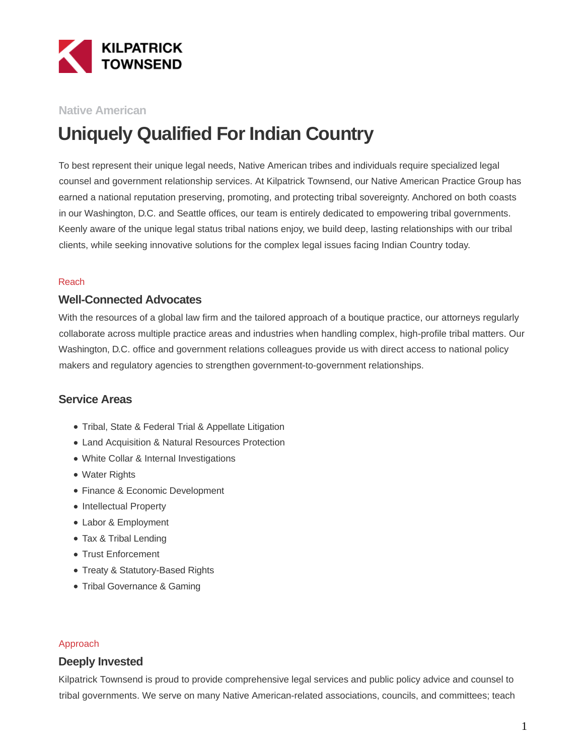

#### **Native American**

# **Uniquely Qualified For Indian Country**

To best represent their unique legal needs, Native American tribes and individuals require specialized legal counsel and government relationship services. At Kilpatrick Townsend, our Native American Practice Group has earned a national reputation preserving, promoting, and protecting tribal sovereignty. Anchored on both coasts in our Washington, D.C. and Seattle offices, our team is entirely dedicated to empowering tribal governments. Keenly aware of the unique legal status tribal nations enjoy, we build deep, lasting relationships with our tribal clients, while seeking innovative solutions for the complex legal issues facing Indian Country today.

#### Reach

#### **Well-Connected Advocates**

With the resources of a global law firm and the tailored approach of a boutique practice, our attorneys regularly collaborate across multiple practice areas and industries when handling complex, high-profile tribal matters. Our Washington, D.C. office and government relations colleagues provide us with direct access to national policy makers and regulatory agencies to strengthen government-to-government relationships.

#### **Service Areas**

- Tribal, State & Federal Trial & Appellate Litigation
- Land Acquisition & Natural Resources Protection
- White Collar & Internal Investigations
- Water Rights
- Finance & Economic Development
- Intellectual Property
- Labor & Employment
- Tax & Tribal Lending
- Trust Enforcement
- Treaty & Statutory-Based Rights
- Tribal Governance & Gaming

#### Approach

#### **Deeply Invested**

Kilpatrick Townsend is proud to provide comprehensive legal services and public policy advice and counsel to tribal governments. We serve on many Native American-related associations, councils, and committees; teach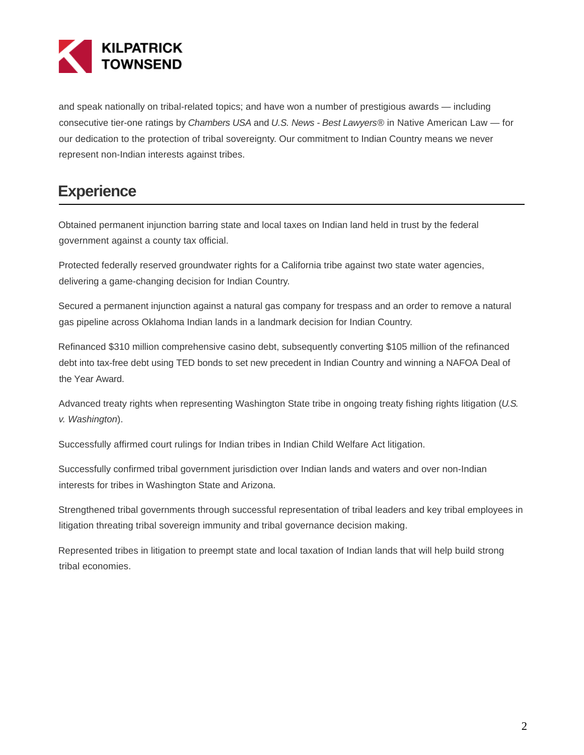

and speak nationally on tribal-related topics; and have won a number of prestigious awards — including consecutive tier-one ratings by Chambers USA and U.S. News - Best Lawyers® in Native American Law — for our dedication to the protection of tribal sovereignty. Our commitment to Indian Country means we never represent non-Indian interests against tribes.

## **Experience**

Obtained permanent injunction barring state and local taxes on Indian land held in trust by the federal government against a county tax official.

Protected federally reserved groundwater rights for a California tribe against two state water agencies, delivering a game-changing decision for Indian Country.

Secured a permanent injunction against a natural gas company for trespass and an order to remove a natural gas pipeline across Oklahoma Indian lands in a landmark decision for Indian Country.

Refinanced \$310 million comprehensive casino debt, subsequently converting \$105 million of the refinanced debt into tax-free debt using TED bonds to set new precedent in Indian Country and winning a NAFOA Deal of the Year Award.

Advanced treaty rights when representing Washington State tribe in ongoing treaty fishing rights litigation (U.S. v. Washington).

Successfully affirmed court rulings for Indian tribes in Indian Child Welfare Act litigation.

Successfully confirmed tribal government jurisdiction over Indian lands and waters and over non-Indian interests for tribes in Washington State and Arizona.

Strengthened tribal governments through successful representation of tribal leaders and key tribal employees in litigation threating tribal sovereign immunity and tribal governance decision making.

Represented tribes in litigation to preempt state and local taxation of Indian lands that will help build strong tribal economies.